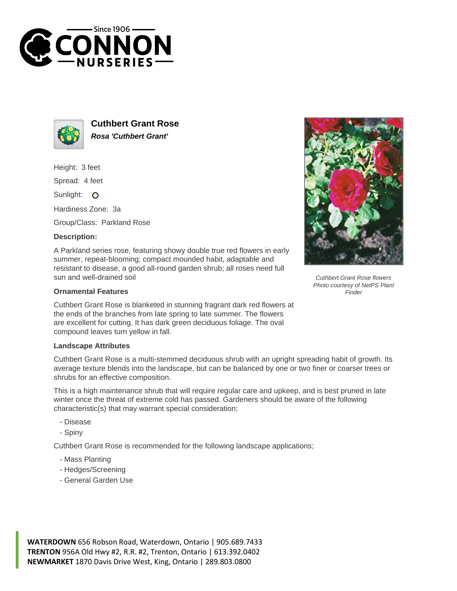



**Cuthbert Grant Rose Rosa 'Cuthbert Grant'**

Height: 3 feet

Spread: 4 feet

Sunlight: O

Hardiness Zone: 3a

Group/Class: Parkland Rose

## **Description:**

A Parkland series rose, featuring showy double true red flowers in early summer, repeat-blooming; compact mounded habit, adaptable and resistant to disease, a good all-round garden shrub; all roses need full sun and well-drained soil

## **Ornamental Features**

Cuthbert Grant Rose is blanketed in stunning fragrant dark red flowers at the ends of the branches from late spring to late summer. The flowers are excellent for cutting. It has dark green deciduous foliage. The oval compound leaves turn yellow in fall.

## **Landscape Attributes**

Cuthbert Grant Rose is a multi-stemmed deciduous shrub with an upright spreading habit of growth. Its average texture blends into the landscape, but can be balanced by one or two finer or coarser trees or shrubs for an effective composition.

This is a high maintenance shrub that will require regular care and upkeep, and is best pruned in late winter once the threat of extreme cold has passed. Gardeners should be aware of the following characteristic(s) that may warrant special consideration;

- Disease
- Spiny

Cuthbert Grant Rose is recommended for the following landscape applications;

- Mass Planting
- Hedges/Screening
- General Garden Use





Cuthbert Grant Rose flowers Photo courtesy of NetPS Plant Finder